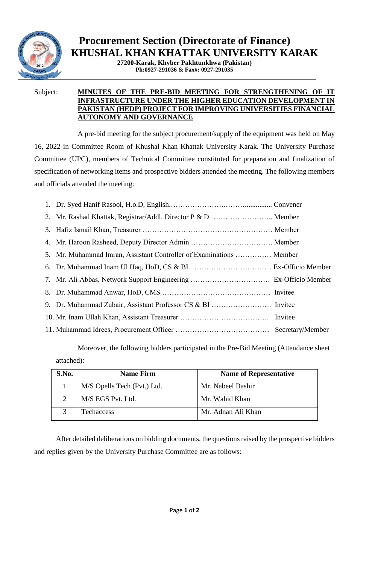

## **Procurement Section (Directorate of Finance) KHUSHAL KHAN KHATTAK UNIVERSITY KARAK**

**27200-Karak, Khyber Pakhtunkhwa (Pakistan) Ph:0927-291036 & Fax#: 0927-291035**

## Subject: **MINUTES OF THE PRE-BID MEETING FOR STRENGTHENING OF IT INFRASTRUCTURE UNDER THE HIGHER EDUCATION DEVELOPMENT IN PAKISTAN (HEDP) PROJECT FOR IMPROVING UNIVERSITIES FINANCIAL AUTONOMY AND GOVERNANCE**

A pre-bid meeting for the subject procurement/supply of the equipment was held on May 16, 2022 in Committee Room of Khushal Khan Khattak University Karak. The University Purchase Committee (UPC), members of Technical Committee constituted for preparation and finalization of specification of networking items and prospective bidders attended the meeting. The following members and officials attended the meeting:

| 2. Mr. Rashad Khattak, Registrar/Addl. Director P & D  Member       |  |
|---------------------------------------------------------------------|--|
|                                                                     |  |
|                                                                     |  |
| 5. Mr. Muhammad Imran, Assistant Controller of Examinations  Member |  |
|                                                                     |  |
|                                                                     |  |
|                                                                     |  |
|                                                                     |  |
|                                                                     |  |
|                                                                     |  |

Moreover, the following bidders participated in the Pre-Bid Meeting (Attendance sheet attached):

| S.No. | <b>Name Firm</b>            | <b>Name of Representative</b> |
|-------|-----------------------------|-------------------------------|
|       | M/S Opells Tech (Pvt.) Ltd. | Mr. Nabeel Bashir             |
|       | M/S EGS Pvt. Ltd.           | Mr. Wahid Khan                |
|       | Techaccess                  | Mr. Adnan Ali Khan            |

After detailed deliberations on bidding documents, the questions raised by the prospective bidders and replies given by the University Purchase Committee are as follows: